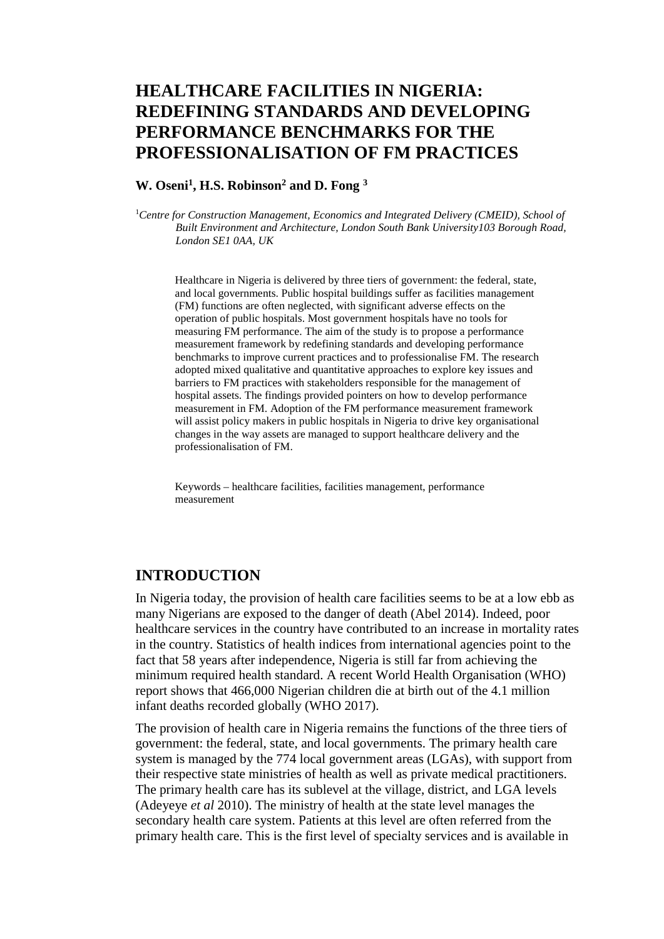# **HEALTHCARE FACILITIES IN NIGERIA: REDEFINING STANDARDS AND DEVELOPING PERFORMANCE BENCHMARKS FOR THE PROFESSIONALISATION OF FM PRACTICES**

### **W. Oseni1, H.S. Robinson2 and D. Fong 3**

<sup>1</sup> Centre for Construction Management, Economics and Integrated Delivery (CMEID), School of *Built Environment and Architecture, London South Bank University103 Borough Road, London SE1 0AA, UK*

Healthcare in Nigeria is delivered by three tiers of government: the federal, state, and local governments. Public hospital buildings suffer as facilities management (FM) functions are often neglected, with significant adverse effects on the operation of public hospitals. Most government hospitals have no tools for measuring FM performance. The aim of the study is to propose a performance measurement framework by redefining standards and developing performance benchmarks to improve current practices and to professionalise FM. The research adopted mixed qualitative and quantitative approaches to explore key issues and barriers to FM practices with stakeholders responsible for the management of hospital assets. The findings provided pointers on how to develop performance measurement in FM. Adoption of the FM performance measurement framework will assist policy makers in public hospitals in Nigeria to drive key organisational changes in the way assets are managed to support healthcare delivery and the professionalisation of FM.

Keywords – healthcare facilities, facilities management, performance measurement

### **INTRODUCTION**

In Nigeria today, the provision of health care facilities seems to be at a low ebb as many Nigerians are exposed to the danger of death (Abel 2014). Indeed, poor healthcare services in the country have contributed to an increase in mortality rates in the country. Statistics of health indices from international agencies point to the fact that 58 years after independence, Nigeria is still far from achieving the minimum required health standard. A recent World Health Organisation (WHO) report shows that 466,000 Nigerian children die at birth out of the 4.1 million infant deaths recorded globally (WHO 2017).

The provision of health care in Nigeria remains the functions of the three tiers of government: the federal, state, and local governments. The primary health care system is managed by the 774 local government areas (LGAs), with support from their respective state ministries of health as well as private medical practitioners. The primary health care has its sublevel at the village, district, and LGA levels (Adeyeye *et al* 2010). The ministry of health at the state level manages the secondary health care system. Patients at this level are often referred from the primary health care. This is the first level of specialty services and is available in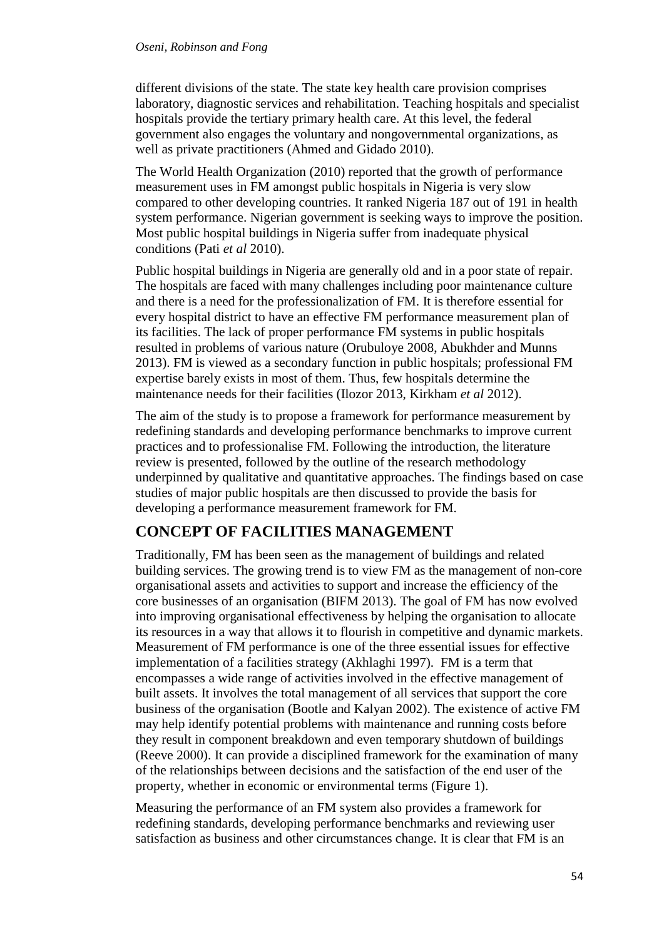#### *Oseni, Robinson and Fong*

different divisions of the state. The state key health care provision comprises laboratory, diagnostic services and rehabilitation. Teaching hospitals and specialist hospitals provide the tertiary primary health care. At this level, the federal government also engages the voluntary and nongovernmental organizations, as well as private practitioners (Ahmed and Gidado 2010).

The World Health Organization (2010) reported that the growth of performance measurement uses in FM amongst public hospitals in Nigeria is very slow compared to other developing countries. It ranked Nigeria 187 out of 191 in health system performance. Nigerian government is seeking ways to improve the position. Most public hospital buildings in Nigeria suffer from inadequate physical conditions (Pati *et al* 2010).

Public hospital buildings in Nigeria are generally old and in a poor state of repair. The hospitals are faced with many challenges including poor maintenance culture and there is a need for the professionalization of FM. It is therefore essential for every hospital district to have an effective FM performance measurement plan of its facilities. The lack of proper performance FM systems in public hospitals resulted in problems of various nature (Orubuloye 2008, Abukhder and Munns 2013). FM is viewed as a secondary function in public hospitals; professional FM expertise barely exists in most of them. Thus, few hospitals determine the maintenance needs for their facilities (Ilozor 2013, Kirkham *et al* 2012).

The aim of the study is to propose a framework for performance measurement by redefining standards and developing performance benchmarks to improve current practices and to professionalise FM. Following the introduction, the literature review is presented, followed by the outline of the research methodology underpinned by qualitative and quantitative approaches. The findings based on case studies of major public hospitals are then discussed to provide the basis for developing a performance measurement framework for FM.

### **CONCEPT OF FACILITIES MANAGEMENT**

Traditionally, FM has been seen as the management of buildings and related building services. The growing trend is to view FM as the management of non-core organisational assets and activities to support and increase the efficiency of the core businesses of an organisation (BIFM 2013). The goal of FM has now evolved into improving organisational effectiveness by helping the organisation to allocate its resources in a way that allows it to flourish in competitive and dynamic markets. Measurement of FM performance is one of the three essential issues for effective implementation of a facilities strategy (Akhlaghi 1997). FM is a term that encompasses a wide range of activities involved in the effective management of built assets. It involves the total management of all services that support the core business of the organisation (Bootle and Kalyan 2002). The existence of active FM may help identify potential problems with maintenance and running costs before they result in component breakdown and even temporary shutdown of buildings (Reeve 2000). It can provide a disciplined framework for the examination of many of the relationships between decisions and the satisfaction of the end user of the property, whether in economic or environmental terms (Figure 1).

Measuring the performance of an FM system also provides a framework for redefining standards, developing performance benchmarks and reviewing user satisfaction as business and other circumstances change. It is clear that FM is an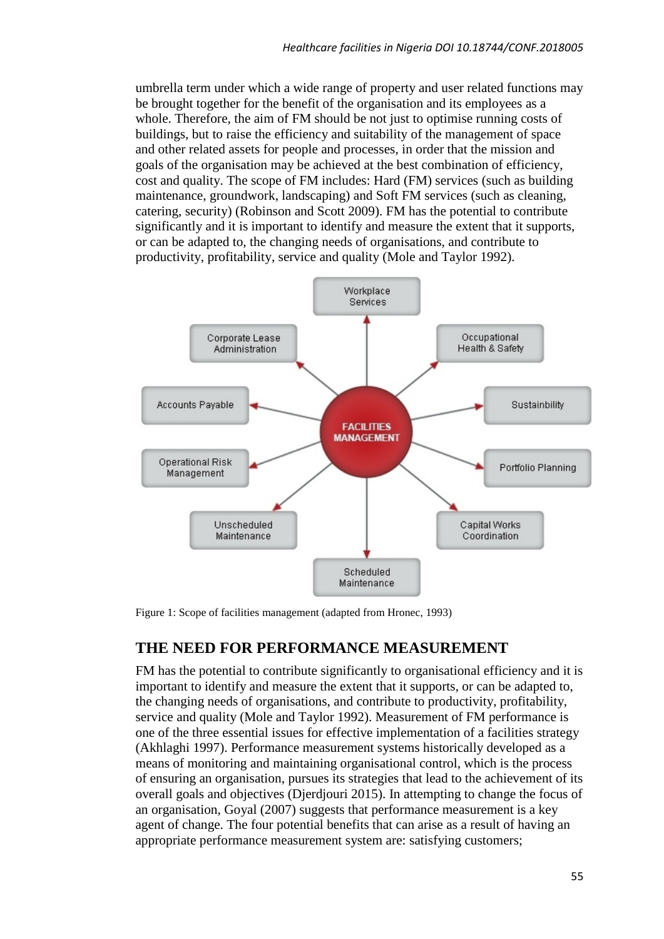umbrella term under which a wide range of property and user related functions may be brought together for the benefit of the organisation and its employees as a whole. Therefore, the aim of FM should be not just to optimise running costs of buildings, but to raise the efficiency and suitability of the management of space and other related assets for people and processes, in order that the mission and goals of the organisation may be achieved at the best combination of efficiency, cost and quality. The scope of FM includes: Hard (FM) services (such as building maintenance, groundwork, landscaping) and Soft FM services (such as cleaning, catering, security) (Robinson and Scott 2009). FM has the potential to contribute significantly and it is important to identify and measure the extent that it supports, or can be adapted to, the changing needs of organisations, and contribute to productivity, profitability, service and quality (Mole and Taylor 1992).



Figure 1: Scope of facilities management (adapted from Hronec, 1993)

## **THE NEED FOR PERFORMANCE MEASUREMENT**

FM has the potential to contribute significantly to organisational efficiency and it is important to identify and measure the extent that it supports, or can be adapted to, the changing needs of organisations, and contribute to productivity, profitability, service and quality (Mole and Taylor 1992). Measurement of FM performance is one of the three essential issues for effective implementation of a facilities strategy (Akhlaghi 1997). Performance measurement systems historically developed as a means of monitoring and maintaining organisational control, which is the process of ensuring an organisation, pursues its strategies that lead to the achievement of its overall goals and objectives (Djerdjouri 2015). In attempting to change the focus of an organisation, Goyal (2007) suggests that performance measurement is a key agent of change. The four potential benefits that can arise as a result of having an appropriate performance measurement system are: satisfying customers;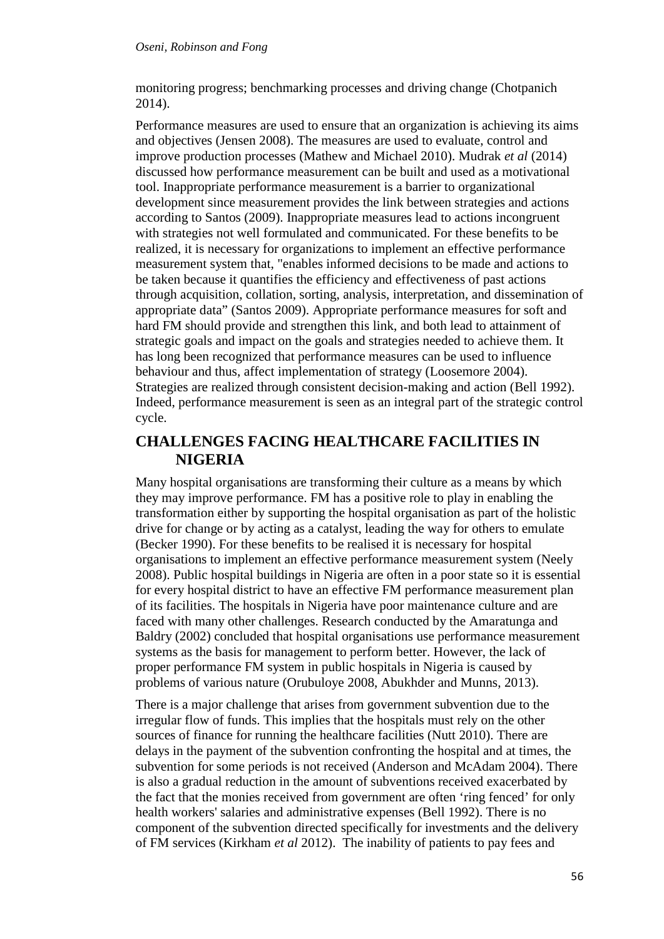#### *Oseni, Robinson and Fong*

monitoring progress; benchmarking processes and driving change (Chotpanich 2014).

Performance measures are used to ensure that an organization is achieving its aims and objectives (Jensen 2008). The measures are used to evaluate, control and improve production processes (Mathew and Michael 2010). Mudrak *et al* (2014) discussed how performance measurement can be built and used as a motivational tool. Inappropriate performance measurement is a barrier to organizational development since measurement provides the link between strategies and actions according to Santos (2009). Inappropriate measures lead to actions incongruent with strategies not well formulated and communicated. For these benefits to be realized, it is necessary for organizations to implement an effective performance measurement system that, "enables informed decisions to be made and actions to be taken because it quantifies the efficiency and effectiveness of past actions through acquisition, collation, sorting, analysis, interpretation, and dissemination of appropriate data" (Santos 2009). Appropriate performance measures for soft and hard FM should provide and strengthen this link, and both lead to attainment of strategic goals and impact on the goals and strategies needed to achieve them. It has long been recognized that performance measures can be used to influence behaviour and thus, affect implementation of strategy (Loosemore 2004). Strategies are realized through consistent decision-making and action (Bell 1992). Indeed, performance measurement is seen as an integral part of the strategic control cycle.

## **CHALLENGES FACING HEALTHCARE FACILITIES IN NIGERIA**

Many hospital organisations are transforming their culture as a means by which they may improve performance. FM has a positive role to play in enabling the transformation either by supporting the hospital organisation as part of the holistic drive for change or by acting as a catalyst, leading the way for others to emulate (Becker 1990). For these benefits to be realised it is necessary for hospital organisations to implement an effective performance measurement system (Neely 2008). Public hospital buildings in Nigeria are often in a poor state so it is essential for every hospital district to have an effective FM performance measurement plan of its facilities. The hospitals in Nigeria have poor maintenance culture and are faced with many other challenges. Research conducted by the Amaratunga and Baldry (2002) concluded that hospital organisations use performance measurement systems as the basis for management to perform better. However, the lack of proper performance FM system in public hospitals in Nigeria is caused by problems of various nature (Orubuloye 2008, Abukhder and Munns, 2013).

There is a major challenge that arises from government subvention due to the irregular flow of funds. This implies that the hospitals must rely on the other sources of finance for running the healthcare facilities (Nutt 2010). There are delays in the payment of the subvention confronting the hospital and at times, the subvention for some periods is not received (Anderson and McAdam 2004). There is also a gradual reduction in the amount of subventions received exacerbated by the fact that the monies received from government are often 'ring fenced' for only health workers' salaries and administrative expenses (Bell 1992). There is no component of the subvention directed specifically for investments and the delivery of FM services (Kirkham *et al* 2012). The inability of patients to pay fees and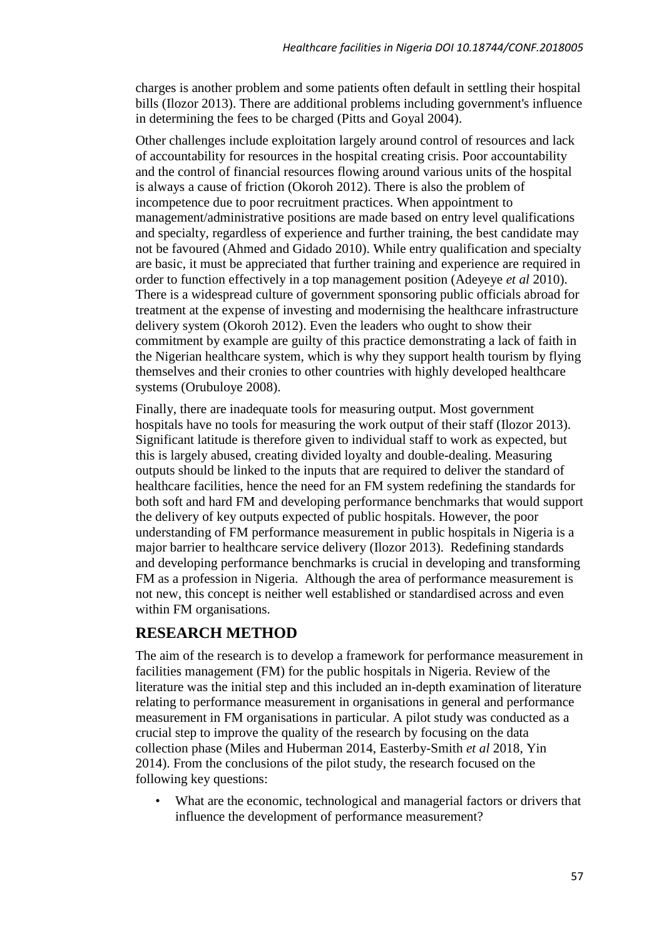charges is another problem and some patients often default in settling their hospital bills (Ilozor 2013). There are additional problems including government's influence in determining the fees to be charged (Pitts and Goyal 2004).

Other challenges include exploitation largely around control of resources and lack of accountability for resources in the hospital creating crisis. Poor accountability and the control of financial resources flowing around various units of the hospital is always a cause of friction (Okoroh 2012). There is also the problem of incompetence due to poor recruitment practices. When appointment to management/administrative positions are made based on entry level qualifications and specialty, regardless of experience and further training, the best candidate may not be favoured (Ahmed and Gidado 2010). While entry qualification and specialty are basic, it must be appreciated that further training and experience are required in order to function effectively in a top management position (Adeyeye *et al* 2010). There is a widespread culture of government sponsoring public officials abroad for treatment at the expense of investing and modernising the healthcare infrastructure delivery system (Okoroh 2012). Even the leaders who ought to show their commitment by example are guilty of this practice demonstrating a lack of faith in the Nigerian healthcare system, which is why they support health tourism by flying themselves and their cronies to other countries with highly developed healthcare systems (Orubuloye 2008).

Finally, there are inadequate tools for measuring output. Most government hospitals have no tools for measuring the work output of their staff (Ilozor 2013). Significant latitude is therefore given to individual staff to work as expected, but this is largely abused, creating divided loyalty and double-dealing. Measuring outputs should be linked to the inputs that are required to deliver the standard of healthcare facilities, hence the need for an FM system redefining the standards for both soft and hard FM and developing performance benchmarks that would support the delivery of key outputs expected of public hospitals. However, the poor understanding of FM performance measurement in public hospitals in Nigeria is a major barrier to healthcare service delivery (Ilozor 2013). Redefining standards and developing performance benchmarks is crucial in developing and transforming FM as a profession in Nigeria. Although the area of performance measurement is not new, this concept is neither well established or standardised across and even within FM organisations.

## **RESEARCH METHOD**

The aim of the research is to develop a framework for performance measurement in facilities management (FM) for the public hospitals in Nigeria. Review of the literature was the initial step and this included an in-depth examination of literature relating to performance measurement in organisations in general and performance measurement in FM organisations in particular. A pilot study was conducted as a crucial step to improve the quality of the research by focusing on the data collection phase (Miles and Huberman 2014, Easterby-Smith *et al* 2018, Yin 2014). From the conclusions of the pilot study, the research focused on the following key questions:

• What are the economic, technological and managerial factors or drivers that influence the development of performance measurement?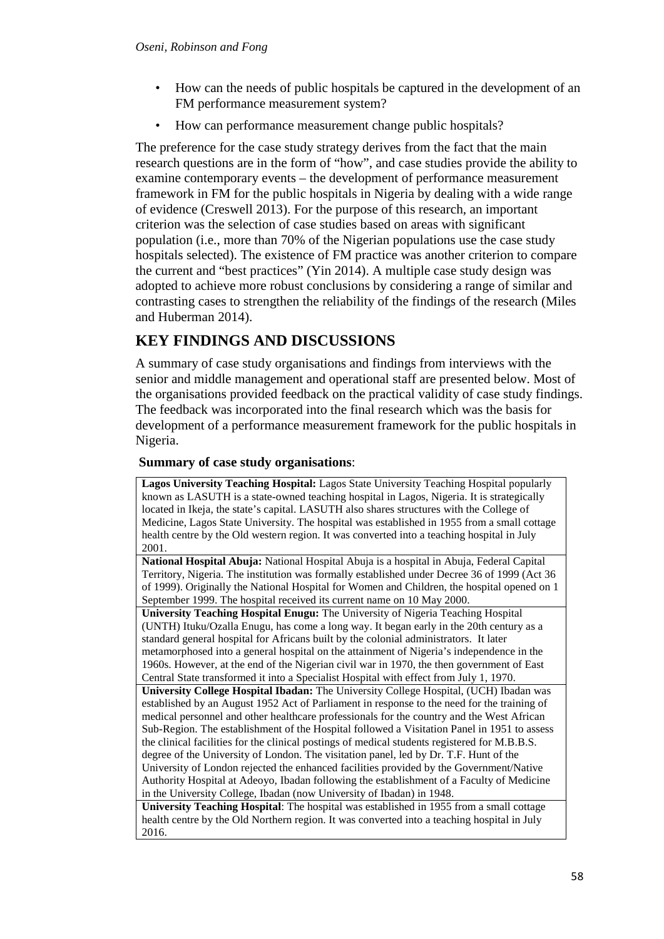- How can the needs of public hospitals be captured in the development of an FM performance measurement system?
- How can performance measurement change public hospitals?

The preference for the case study strategy derives from the fact that the main research questions are in the form of "how", and case studies provide the ability to examine contemporary events – the development of performance measurement framework in FM for the public hospitals in Nigeria by dealing with a wide range of evidence (Creswell 2013). For the purpose of this research, an important criterion was the selection of case studies based on areas with significant population (i.e., more than 70% of the Nigerian populations use the case study hospitals selected). The existence of FM practice was another criterion to compare the current and "best practices" (Yin 2014). A multiple case study design was adopted to achieve more robust conclusions by considering a range of similar and contrasting cases to strengthen the reliability of the findings of the research (Miles and Huberman 2014).

## **KEY FINDINGS AND DISCUSSIONS**

A summary of case study organisations and findings from interviews with the senior and middle management and operational staff are presented below. Most of the organisations provided feedback on the practical validity of case study findings. The feedback was incorporated into the final research which was the basis for development of a performance measurement framework for the public hospitals in Nigeria.

### **Summary of case study organisations**:

**Lagos University Teaching Hospital:** Lagos State University Teaching Hospital popularly known as LASUTH is a state-owned teaching hospital in Lagos, Nigeria. It is strategically located in Ikeja, the state's capital. LASUTH also shares structures with the College of Medicine, Lagos State University. The hospital was established in 1955 from a small cottage health centre by the Old western region. It was converted into a teaching hospital in July 2001.

**National Hospital Abuja:** National Hospital Abuja is a hospital in Abuja, Federal Capital Territory, Nigeria. The institution was formally established under Decree 36 of 1999 (Act 36 of 1999). Originally the National Hospital for Women and Children, the hospital opened on 1 September 1999. The hospital received its current name on 10 May 2000.

**University Teaching Hospital Enugu:** The University of Nigeria Teaching Hospital (UNTH) Ituku/Ozalla Enugu, has come a long way. It began early in the 20th century as a standard general hospital for Africans built by the colonial administrators. It later metamorphosed into a general hospital on the attainment of Nigeria's independence in the 1960s. However, at the end of the Nigerian civil war in 1970, the then government of East

Central State transformed it into a Specialist Hospital with effect from July 1, 1970. **University College Hospital Ibadan:** The University College Hospital, (UCH) Ibadan was established by an August 1952 Act of Parliament in response to the need for the training of medical personnel and other healthcare professionals for the country and the West African Sub-Region. The establishment of the Hospital followed a Visitation Panel in 1951 to assess the clinical facilities for the clinical postings of medical students registered for M.B.B.S. degree of the University of London. The visitation panel, led by Dr. T.F. Hunt of the University of London rejected the enhanced facilities provided by the Government/Native Authority Hospital at Adeoyo, Ibadan following the establishment of a Faculty of Medicine in the University College, Ibadan (now University of Ibadan) in 1948.

**University Teaching Hospital**: The hospital was established in 1955 from a small cottage health centre by the Old Northern region. It was converted into a teaching hospital in July 2016.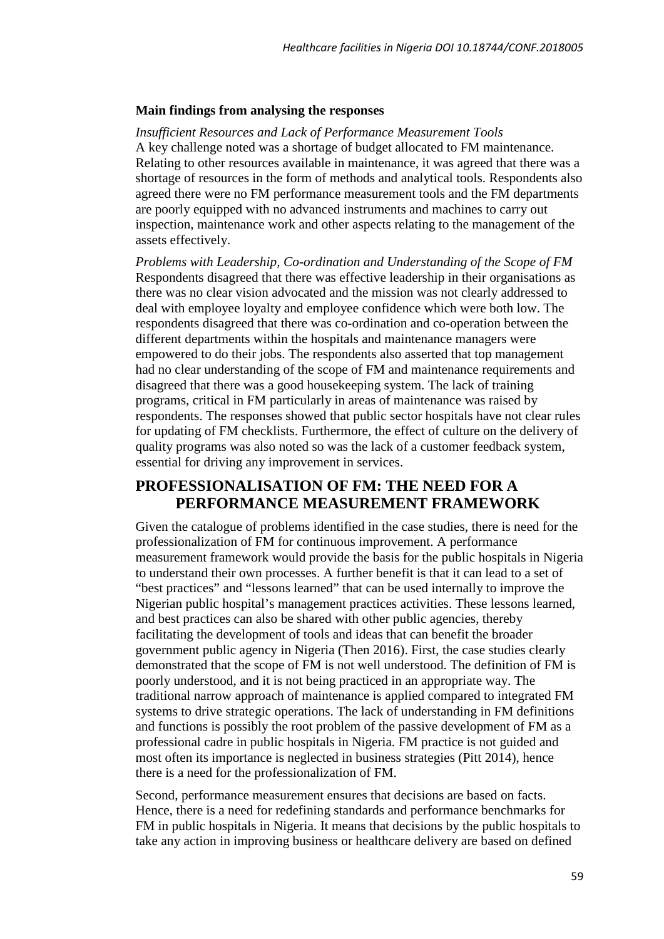#### **Main findings from analysing the responses**

*Insufficient Resources and Lack of Performance Measurement Tools*  A key challenge noted was a shortage of budget allocated to FM maintenance. Relating to other resources available in maintenance, it was agreed that there was a shortage of resources in the form of methods and analytical tools. Respondents also agreed there were no FM performance measurement tools and the FM departments are poorly equipped with no advanced instruments and machines to carry out inspection, maintenance work and other aspects relating to the management of the assets effectively.

*Problems with Leadership, Co-ordination and Understanding of the Scope of FM*  Respondents disagreed that there was effective leadership in their organisations as there was no clear vision advocated and the mission was not clearly addressed to deal with employee loyalty and employee confidence which were both low. The respondents disagreed that there was co-ordination and co-operation between the different departments within the hospitals and maintenance managers were empowered to do their jobs. The respondents also asserted that top management had no clear understanding of the scope of FM and maintenance requirements and disagreed that there was a good housekeeping system. The lack of training programs, critical in FM particularly in areas of maintenance was raised by respondents. The responses showed that public sector hospitals have not clear rules for updating of FM checklists. Furthermore, the effect of culture on the delivery of quality programs was also noted so was the lack of a customer feedback system, essential for driving any improvement in services.

## **PROFESSIONALISATION OF FM: THE NEED FOR A PERFORMANCE MEASUREMENT FRAMEWORK**

Given the catalogue of problems identified in the case studies, there is need for the professionalization of FM for continuous improvement. A performance measurement framework would provide the basis for the public hospitals in Nigeria to understand their own processes. A further benefit is that it can lead to a set of "best practices" and "lessons learned" that can be used internally to improve the Nigerian public hospital's management practices activities. These lessons learned, and best practices can also be shared with other public agencies, thereby facilitating the development of tools and ideas that can benefit the broader government public agency in Nigeria (Then 2016). First, the case studies clearly demonstrated that the scope of FM is not well understood. The definition of FM is poorly understood, and it is not being practiced in an appropriate way. The traditional narrow approach of maintenance is applied compared to integrated FM systems to drive strategic operations. The lack of understanding in FM definitions and functions is possibly the root problem of the passive development of FM as a professional cadre in public hospitals in Nigeria. FM practice is not guided and most often its importance is neglected in business strategies (Pitt 2014), hence there is a need for the professionalization of FM.

Second, performance measurement ensures that decisions are based on facts. Hence, there is a need for redefining standards and performance benchmarks for FM in public hospitals in Nigeria. It means that decisions by the public hospitals to take any action in improving business or healthcare delivery are based on defined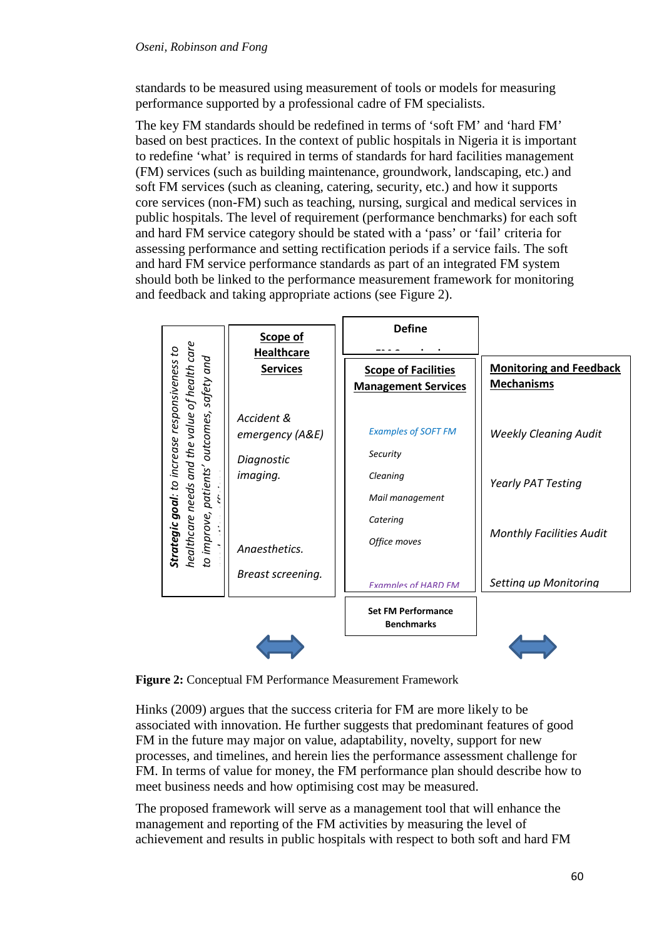#### *Oseni, Robinson and Fong*

standards to be measured using measurement of tools or models for measuring performance supported by a professional cadre of FM specialists.

The key FM standards should be redefined in terms of 'soft FM' and 'hard FM' based on best practices. In the context of public hospitals in Nigeria it is important to redefine 'what' is required in terms of standards for hard facilities management (FM) services (such as building maintenance, groundwork, landscaping, etc.) and soft FM services (such as cleaning, catering, security, etc.) and how it supports core services (non-FM) such as teaching, nursing, surgical and medical services in public hospitals. The level of requirement (performance benchmarks) for each soft and hard FM service category should be stated with a 'pass' or 'fail' criteria for assessing performance and setting rectification periods if a service fails. The soft and hard FM service performance standards as part of an integrated FM system should both be linked to the performance measurement framework for monitoring and feedback and taking appropriate actions (see Figure 2).

|                                                                                                                                                        | Scope of<br><b>Healthcare</b>                           | <b>Define</b>                                                                                     |                                                                                              |
|--------------------------------------------------------------------------------------------------------------------------------------------------------|---------------------------------------------------------|---------------------------------------------------------------------------------------------------|----------------------------------------------------------------------------------------------|
| healthcare needs and the value of health care<br><b>Strategic goal:</b> to increase responsiveness to<br>patients' outcomes, safety and<br>to improve, | <b>Services</b>                                         | <b>Scope of Facilities</b><br><b>Management Services</b>                                          | <b>Monitoring and Feedback</b><br><b>Mechanisms</b>                                          |
|                                                                                                                                                        | Accident &<br>emergency (A&E)<br>Diagnostic<br>imaging. | <b>Examples of SOFT FM</b><br>Security<br>Cleaning<br>Mail management<br>Catering<br>Office moves | <b>Weekly Cleaning Audit</b><br><b>Yearly PAT Testing</b><br><b>Monthly Facilities Audit</b> |
|                                                                                                                                                        | Anaesthetics.<br>Breast screening.                      | Examples of HARD FM                                                                               | Settina up Monitorina                                                                        |
|                                                                                                                                                        |                                                         | <b>Set FM Performance</b><br><b>Benchmarks</b>                                                    |                                                                                              |
|                                                                                                                                                        |                                                         |                                                                                                   |                                                                                              |

**Figure 2:** Conceptual FM Performance Measurement Framework

Hinks (2009) argues that the success criteria for FM are more likely to be associated with innovation. He further suggests that predominant features of good FM in the future may major on value, adaptability, novelty, support for new processes, and timelines, and herein lies the performance assessment challenge for FM. In terms of value for money, the FM performance plan should describe how to meet business needs and how optimising cost may be measured.

The proposed framework will serve as a management tool that will enhance the management and reporting of the FM activities by measuring the level of achievement and results in public hospitals with respect to both soft and hard FM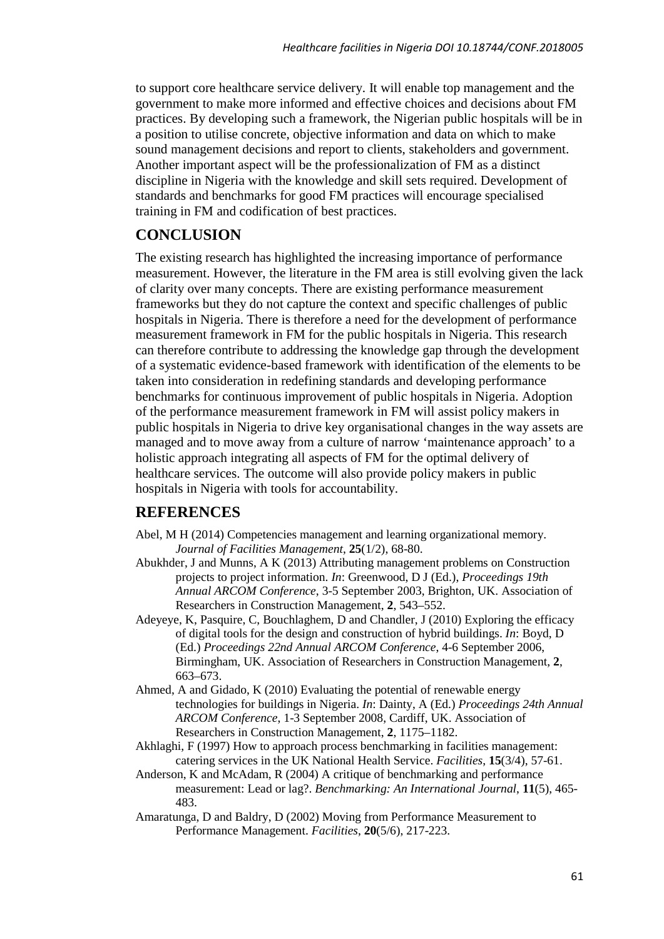to support core healthcare service delivery. It will enable top management and the government to make more informed and effective choices and decisions about FM practices. By developing such a framework, the Nigerian public hospitals will be in a position to utilise concrete, objective information and data on which to make sound management decisions and report to clients, stakeholders and government. Another important aspect will be the professionalization of FM as a distinct discipline in Nigeria with the knowledge and skill sets required. Development of standards and benchmarks for good FM practices will encourage specialised training in FM and codification of best practices.

# **CONCLUSION**

The existing research has highlighted the increasing importance of performance measurement. However, the literature in the FM area is still evolving given the lack of clarity over many concepts. There are existing performance measurement frameworks but they do not capture the context and specific challenges of public hospitals in Nigeria. There is therefore a need for the development of performance measurement framework in FM for the public hospitals in Nigeria. This research can therefore contribute to addressing the knowledge gap through the development of a systematic evidence-based framework with identification of the elements to be taken into consideration in redefining standards and developing performance benchmarks for continuous improvement of public hospitals in Nigeria. Adoption of the performance measurement framework in FM will assist policy makers in public hospitals in Nigeria to drive key organisational changes in the way assets are managed and to move away from a culture of narrow 'maintenance approach' to a holistic approach integrating all aspects of FM for the optimal delivery of healthcare services. The outcome will also provide policy makers in public hospitals in Nigeria with tools for accountability.

## **REFERENCES**

- Abel, M H (2014) Competencies management and learning organizational memory. *Journal of Facilities Management*, **25**(1/2), 68-80.
- Abukhder, J and Munns, A K (2013) Attributing management problems on Construction projects to project information. *In*: Greenwood, D J (Ed.), *Proceedings 19th Annual ARCOM Conference*, 3-5 September 2003, Brighton, UK. Association of Researchers in Construction Management, **2**, 543–552.
- Adeyeye, K, Pasquire, C, Bouchlaghem, D and Chandler, J (2010) Exploring the efficacy of digital tools for the design and construction of hybrid buildings. *In*: Boyd, D (Ed.) *Proceedings 22nd Annual ARCOM Conference*, 4-6 September 2006, Birmingham, UK. Association of Researchers in Construction Management, **2**, 663–673.
- Ahmed, A and Gidado, K (2010) Evaluating the potential of renewable energy technologies for buildings in Nigeria. *In*: Dainty, A (Ed.) *Proceedings 24th Annual ARCOM Conference*, 1-3 September 2008, Cardiff, UK. Association of Researchers in Construction Management, **2**, 1175–1182.
- Akhlaghi, F (1997) How to approach process benchmarking in facilities management: catering services in the UK National Health Service. *Facilities*, **15**(3/4), 57-61.
- Anderson, K and McAdam, R (2004) A critique of benchmarking and performance measurement: Lead or lag?. *Benchmarking: An International Journal*, **11**(5), 465- 483.
- Amaratunga, D and Baldry, D (2002) Moving from Performance Measurement to Performance Management. *Facilities*, **20**(5/6), 217-223.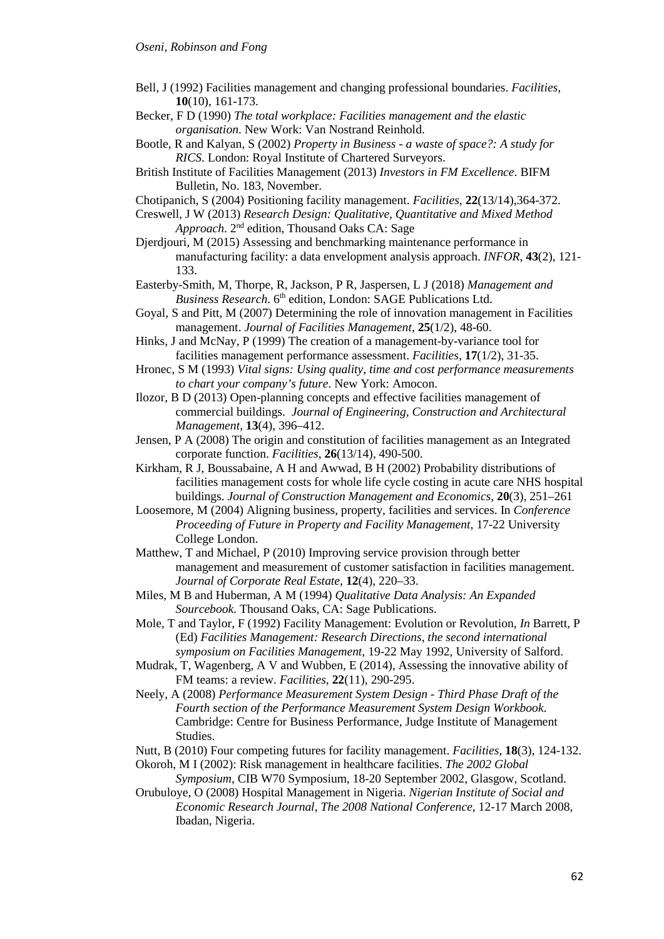- Bell, J (1992) Facilities management and changing professional boundaries. *Facilities*, **10**(10), 161-173.
- Becker, F D (1990) *The total workplace: Facilities management and the elastic organisation*. New Work: Van Nostrand Reinhold.
- Bootle, R and Kalyan, S (2002) *Property in Business - a waste of space?: A study for RICS*. London: Royal Institute of Chartered Surveyors.
- British Institute of Facilities Management (2013) *Investors in FM Excellence*. BIFM Bulletin, No. 183, November.
- Chotipanich, S (2004) Positioning facility management. *Facilities*, **22**(13/14),364-372.
- Creswell, J W (2013) *Research Design: Qualitative, Quantitative and Mixed Method Approach*. 2nd edition, Thousand Oaks CA: Sage
- Djerdjouri, M (2015) Assessing and benchmarking maintenance performance in manufacturing facility: a data envelopment analysis approach. *INFOR*, **43**(2), 121- 133.
- Easterby-Smith, M, Thorpe, R, Jackson, P R, Jaspersen, L J (2018) *Management and*  Business Research. 6<sup>th</sup> edition, London: SAGE Publications Ltd.
- Goyal, S and Pitt, M (2007) Determining the role of innovation management in Facilities management. *Journal of Facilities Management*, **25**(1/2), 48-60.
- Hinks, J and McNay, P (1999) The creation of a management-by-variance tool for facilities management performance assessment. *Facilities*, **17**(1/2), 31-35.
- Hronec, S M (1993) *Vital signs: Using quality, time and cost performance measurements to chart your company's future*. New York: Amocon.
- Ilozor, B D (2013) Open-planning concepts and effective facilities management of commercial buildings. *Journal of Engineering, Construction and Architectural Management*, **13**(4), 396–412.
- Jensen, P A (2008) The origin and constitution of facilities management as an Integrated corporate function. *Facilities*, **26**(13/14), 490-500.
- Kirkham, R J, Boussabaine, A H and Awwad, B H (2002) Probability distributions of facilities management costs for whole life cycle costing in acute care NHS hospital buildings. *Journal of Construction Management and Economics*, **20**(3), 251–261
- Loosemore, M (2004) Aligning business, property, facilities and services. In *Conference Proceeding of Future in Property and Facility Management*, 17-22 University College London.
- Matthew, T and Michael, P (2010) Improving service provision through better management and measurement of customer satisfaction in facilities management. *Journal of Corporate Real Estate*, **12**(4), 220–33.
- Miles, M B and Huberman, A M (1994) *Qualitative Data Analysis: An Expanded Sourcebook*. Thousand Oaks, CA: Sage Publications.
- Mole, T and Taylor, F (1992) Facility Management: Evolution or Revolution, *In* Barrett, P (Ed) *Facilities Management: Research Directions*, *the second international symposium on Facilities Management*, 19-22 May 1992, University of Salford.
- Mudrak, T, Wagenberg, A V and Wubben, E (2014), Assessing the innovative ability of FM teams: a review. *Facilities*, **22**(11), 290-295.
- Neely, A (2008) *Performance Measurement System Design - Third Phase Draft of the Fourth section of the Performance Measurement System Design Workbook*. Cambridge: Centre for Business Performance, Judge Institute of Management Studies.
- Nutt, B (2010) Four competing futures for facility management. *Facilities*, **18**(3), 124-132.
- Okoroh, M I (2002): Risk management in healthcare facilities. *The 2002 Global Symposium*, CIB W70 Symposium, 18-20 September 2002, Glasgow, Scotland.
- Orubuloye, O (2008) Hospital Management in Nigeria. *Nigerian Institute of Social and Economic Research Journal*, *The 2008 National Conference*, 12-17 March 2008, Ibadan, Nigeria.